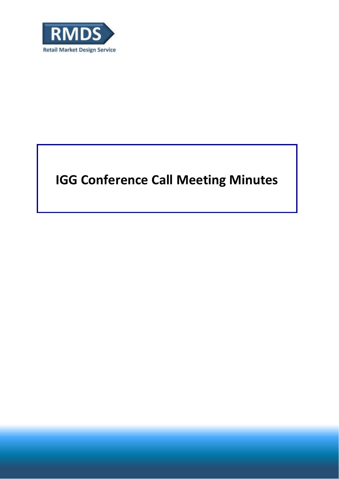

# **IGG Conference Call Meeting Minutes**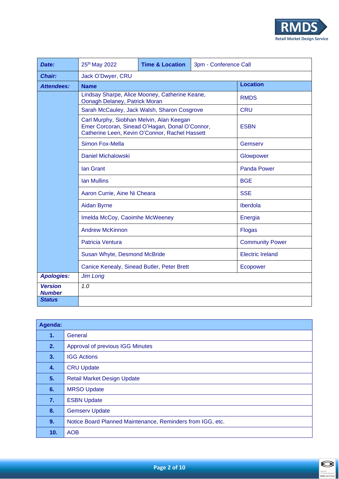

| Date:                           | 25th May 2022                                                                                                                                | <b>Time &amp; Location</b> | 3pm - Conference Call |             |  |  |
|---------------------------------|----------------------------------------------------------------------------------------------------------------------------------------------|----------------------------|-----------------------|-------------|--|--|
| <b>Chair:</b>                   | Jack O'Dwyer, CRU                                                                                                                            |                            |                       |             |  |  |
| <b>Attendees:</b>               | <b>Name</b>                                                                                                                                  | <b>Location</b>            |                       |             |  |  |
|                                 | Lindsay Sharpe, Alice Mooney, Catherine Keane,<br>Oonagh Delaney, Patrick Moran                                                              |                            |                       | <b>RMDS</b> |  |  |
|                                 | Sarah McCauley, Jack Walsh, Sharon Cosgrove                                                                                                  | <b>CRU</b>                 |                       |             |  |  |
|                                 | Carl Murphy, Siobhan Melvin, Alan Keegan<br>Emer Corcoran, Sinead O'Hagan, Donal O'Connor,<br>Catherine Leen, Kevin O'Connor, Rachel Hassett | <b>ESBN</b>                |                       |             |  |  |
|                                 | <b>Simon Fox-Mella</b>                                                                                                                       | Gemserv                    |                       |             |  |  |
|                                 | <b>Daniel Michalowski</b>                                                                                                                    | Glowpower                  |                       |             |  |  |
|                                 | <b>Ian Grant</b>                                                                                                                             | <b>Panda Power</b>         |                       |             |  |  |
|                                 | <b>Ian Mullins</b>                                                                                                                           | <b>BGE</b>                 |                       |             |  |  |
|                                 | Aaron Currie, Aine Ni Cheara                                                                                                                 | <b>SSE</b>                 |                       |             |  |  |
|                                 | <b>Aidan Byrne</b>                                                                                                                           | Iberdola                   |                       |             |  |  |
|                                 | Imelda McCoy, Caoimhe McWeeney                                                                                                               | Energia                    |                       |             |  |  |
|                                 | <b>Andrew McKinnon</b>                                                                                                                       | <b>Flogas</b>              |                       |             |  |  |
|                                 | Patricia Ventura                                                                                                                             | <b>Community Power</b>     |                       |             |  |  |
|                                 | Susan Whyte, Desmond McBride                                                                                                                 | <b>Electric Ireland</b>    |                       |             |  |  |
|                                 | Canice Kenealy, Sinead Butler, Peter Brett                                                                                                   | Ecopower                   |                       |             |  |  |
| <b>Apologies:</b>               | <b>Jim Long</b>                                                                                                                              |                            |                       |             |  |  |
| <b>Version</b><br><b>Number</b> | 1.0                                                                                                                                          |                            |                       |             |  |  |
| <b>Status</b>                   |                                                                                                                                              |                            |                       |             |  |  |

| Agenda: |                                                            |  |  |  |  |
|---------|------------------------------------------------------------|--|--|--|--|
| 1.      | General                                                    |  |  |  |  |
| 2.      | <b>Approval of previous IGG Minutes</b>                    |  |  |  |  |
| 3.      | <b>IGG Actions</b>                                         |  |  |  |  |
| 4.      | <b>CRU Update</b>                                          |  |  |  |  |
| 5.      | <b>Retail Market Design Update</b>                         |  |  |  |  |
| 6.      | <b>MRSO Update</b>                                         |  |  |  |  |
| 7.      | <b>ESBN Update</b>                                         |  |  |  |  |
| 8.      | <b>Gemserv Update</b>                                      |  |  |  |  |
| 9.      | Notice Board Planned Maintenance, Reminders from IGG, etc. |  |  |  |  |
| 10.     | <b>AOB</b>                                                 |  |  |  |  |

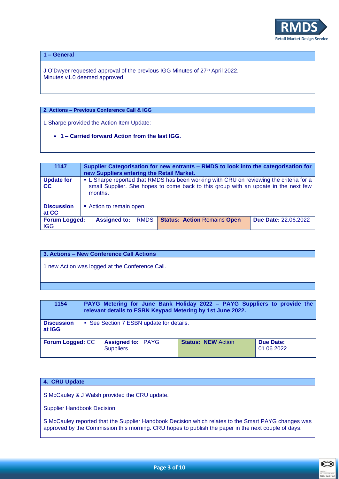

**1 – General**

J O'Dwyer requested approval of the previous IGG Minutes of 27<sup>th</sup> April 2022. Minutes v1.0 deemed approved.

## **2. Actions – Previous Conference Call & IGG**

L Sharpe provided the Action Item Update:

• **1 – Carried forward Action from the last IGG.**

| 1147                               | Supplier Categorisation for new entrants – RMDS to look into the categorisation for<br>new Suppliers entering the Retail Market.                                                          |                     |             |                                    |                             |
|------------------------------------|-------------------------------------------------------------------------------------------------------------------------------------------------------------------------------------------|---------------------|-------------|------------------------------------|-----------------------------|
| <b>Update for</b><br>cc            | • L Sharpe reported that RMDS has been working with CRU on reviewing the criteria for a<br>small Supplier. She hopes to come back to this group with an update in the next few<br>months. |                     |             |                                    |                             |
| <b>Discussion</b><br>at CC         | Action to remain open.                                                                                                                                                                    |                     |             |                                    |                             |
| <b>Forum Logged:</b><br><b>IGG</b> |                                                                                                                                                                                           | <b>Assigned to:</b> | <b>RMDS</b> | <b>Status: Action Remains Open</b> | <b>Due Date: 22.06.2022</b> |

## **3. Actions – New Conference Call Actions**

1 new Action was logged at the Conference Call.

| 1154                        | PAYG Metering for June Bank Holiday 2022 - PAYG Suppliers to provide the<br>relevant details to ESBN Keypad Metering by 1st June 2022. |                                              |                           |                         |  |  |
|-----------------------------|----------------------------------------------------------------------------------------------------------------------------------------|----------------------------------------------|---------------------------|-------------------------|--|--|
| <b>Discussion</b><br>at IGG | • See Section 7 ESBN update for details.                                                                                               |                                              |                           |                         |  |  |
| <b>Forum Logged: CC</b>     |                                                                                                                                        | <b>Assigned to: PAYG</b><br><b>Suppliers</b> | <b>Status: NEW Action</b> | Due Date:<br>01.06.2022 |  |  |

#### **4. CRU Update**

S McCauley & J Walsh provided the CRU update.

Supplier Handbook Decision

S McCauley reported that the Supplier Handbook Decision which relates to the Smart PAYG changes was approved by the Commission this morning. CRU hopes to publish the paper in the next couple of days.

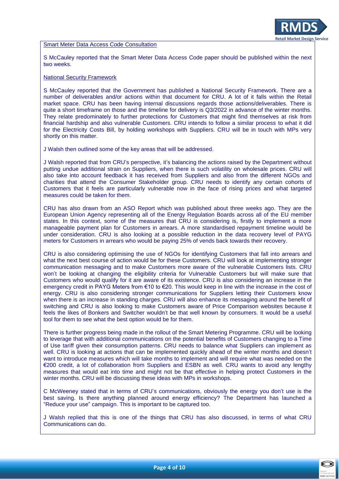#### Smart Meter Data Access Code Consultation

S McCauley reported that the Smart Meter Data Access Code paper should be published within the next two weeks.

#### National Security Framework

S McCauley reported that the Government has published a National Security Framework. There are a number of deliverables and/or actions within that document for CRU. A lot of it falls within the Retail market space. CRU has been having internal discussions regards those actions/deliverables. There is quite a short timeframe on those and the timeline for delivery is Q3/2022 in advance of the winter months. They relate predominately to further protections for Customers that might find themselves at risk from financial hardship and also vulnerable Customers. CRU intends to follow a similar process to what it did for the Electricity Costs Bill, by holding workshops with Suppliers. CRU will be in touch with MPs very shortly on this matter.

J Walsh then outlined some of the key areas that will be addressed.

J Walsh reported that from CRU's perspective, it's balancing the actions raised by the Department without putting undue additional strain on Suppliers, when there is such volatility on wholesale prices. CRU will also take into account feedback it has received from Suppliers and also from the different NGOs and charities that attend the Consumer Stakeholder group. CRU needs to identify any certain cohorts of Customers that it feels are particularly vulnerable now in the face of rising prices and what targeted measures could be taken for them.

CRU has also drawn from an ASO Report which was published about three weeks ago. They are the European Union Agency representing all of the Energy Regulation Boards across all of the EU member states. In this context, some of the measures that CRU is considering is, firstly to implement a more manageable payment plan for Customers in arrears. A more standardised repayment timeline would be under consideration. CRU is also looking at a possible reduction in the data recovery level of PAYG meters for Customers in arrears who would be paying 25% of vends back towards their recovery.

CRU is also considering optimising the use of NGOs for identifying Customers that fall into arrears and what the next best course of action would be for these Customers. CRU will look at implementing stronger communication messaging and to make Customers more aware of the vulnerable Customers lists. CRU won't be looking at changing the eligibility criteria for Vulnerable Customers but will make sure that Customers who would qualify for it are aware of its existence. CRU is also considering an increase in the emergency credit in PAYG Meters from €10 to €20. This would keep in line with the increase in the cost of energy. CRU is also considering stronger communications for Suppliers letting their Customers know when there is an increase in standing charges. CRU will also enhance its messaging around the benefit of switching and CRU is also looking to make Customers aware of Price Comparison websites because it feels the likes of Bonkers and Switcher wouldn't be that well known by consumers. It would be a useful tool for them to see what the best option would be for them.

There is further progress being made in the rollout of the Smart Metering Programme. CRU will be looking to leverage that with additional communications on the potential benefits of Customers changing to a Time of Use tariff given their consumption patterns. CRU needs to balance what Suppliers can implement as well. CRU is looking at actions that can be implemented quickly ahead of the winter months and doesn't want to introduce measures which will take months to implement and will require what was needed on the €200 credit, a lot of collaboration from Suppliers and ESBN as well. CRU wants to avoid any lengthy measures that would eat into time and might not be that effective in helping protect Customers in the winter months. CRU will be discussing these ideas with MPs in workshops.

C McWeeney stated that in terms of CRU's communications, obviously the energy you don't use is the best saving. Is there anything planned around energy efficiency? The Department has launched a "Reduce your use" campaign. This is important to be captured too.

J Walsh replied that this is one of the things that CRU has also discussed, in terms of what CRU Communications can do.

**Retail Market Design Service**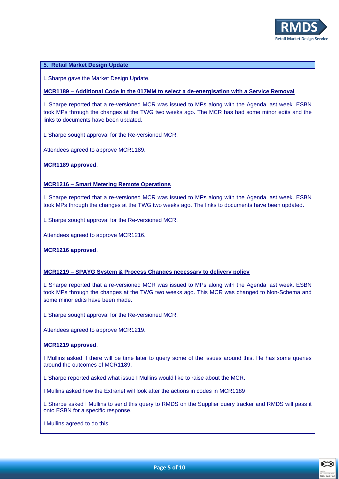

#### **5. Retail Market Design Update**

L Sharpe gave the Market Design Update.

#### **MCR1189 – Additional Code in the 017MM to select a de-energisation with a Service Removal**

L Sharpe reported that a re-versioned MCR was issued to MPs along with the Agenda last week. ESBN took MPs through the changes at the TWG two weeks ago. The MCR has had some minor edits and the links to documents have been updated.

L Sharpe sought approval for the Re-versioned MCR.

Attendees agreed to approve MCR1189.

**MCR1189 approved**.

#### **MCR1216 – Smart Metering Remote Operations**

L Sharpe reported that a re-versioned MCR was issued to MPs along with the Agenda last week. ESBN took MPs through the changes at the TWG two weeks ago. The links to documents have been updated.

L Sharpe sought approval for the Re-versioned MCR.

Attendees agreed to approve MCR1216.

**MCR1216 approved**.

#### **MCR1219 – SPAYG System & Process Changes necessary to delivery policy**

L Sharpe reported that a re-versioned MCR was issued to MPs along with the Agenda last week. ESBN took MPs through the changes at the TWG two weeks ago. This MCR was changed to Non-Schema and some minor edits have been made.

L Sharpe sought approval for the Re-versioned MCR.

Attendees agreed to approve MCR1219.

#### **MCR1219 approved**.

I Mullins asked if there will be time later to query some of the issues around this. He has some queries around the outcomes of MCR1189.

L Sharpe reported asked what issue I Mullins would like to raise about the MCR.

I Mullins asked how the Extranet will look after the actions in codes in MCR1189

L Sharpe asked I Mullins to send this query to RMDS on the Supplier query tracker and RMDS will pass it onto ESBN for a specific response.

I Mullins agreed to do this.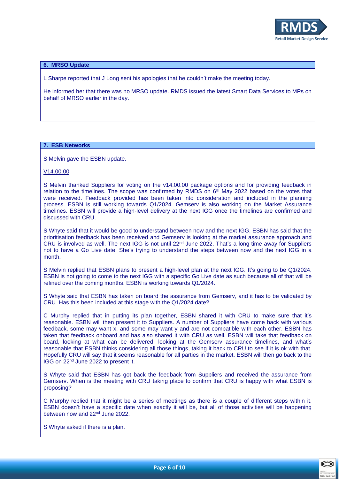

#### **6. MRSO Update**

L Sharpe reported that J Long sent his apologies that he couldn't make the meeting today.

He informed her that there was no MRSO update. RMDS issued the latest Smart Data Services to MPs on behalf of MRSO earlier in the day.

#### **7. ESB Networks**

S Melvin gave the ESBN update.

V14.00.00

S Melvin thanked Suppliers for voting on the v14.00.00 package options and for providing feedback in relation to the timelines. The scope was confirmed by RMDS on  $6<sup>th</sup>$  May 2022 based on the votes that were received. Feedback provided has been taken into consideration and included in the planning process. ESBN is still working towards Q1/2024. Gemserv is also working on the Market Assurance timelines. ESBN will provide a high-level delivery at the next IGG once the timelines are confirmed and discussed with CRU.

S Whyte said that it would be good to understand between now and the next IGG, ESBN has said that the prioritisation feedback has been received and Gemserv is looking at the market assurance approach and CRU is involved as well. The next IGG is not until 22nd June 2022. That's a long time away for Suppliers not to have a Go Live date. She's trying to understand the steps between now and the next IGG in a month.

S Melvin replied that ESBN plans to present a high-level plan at the next IGG. It's going to be Q1/2024. ESBN is not going to come to the next IGG with a specific Go Live date as such because all of that will be refined over the coming months. ESBN is working towards Q1/2024.

S Whyte said that ESBN has taken on board the assurance from Gemserv, and it has to be validated by CRU. Has this been included at this stage with the Q1/2024 date?

C Murphy replied that in putting its plan together, ESBN shared it with CRU to make sure that it's reasonable. ESBN will then present it to Suppliers. A number of Suppliers have come back with various feedback, some may want x, and some may want y and are not compatible with each other. ESBN has taken that feedback onboard and has also shared it with CRU as well. ESBN will take that feedback on board, looking at what can be delivered, looking at the Gemserv assurance timelines, and what's reasonable that ESBN thinks considering all those things, taking it back to CRU to see if it is ok with that. Hopefully CRU will say that it seems reasonable for all parties in the market. ESBN will then go back to the IGG on 22nd June 2022 to present it.

S Whyte said that ESBN has got back the feedback from Suppliers and received the assurance from Gemserv. When is the meeting with CRU taking place to confirm that CRU is happy with what ESBN is proposing?

C Murphy replied that it might be a series of meetings as there is a couple of different steps within it. ESBN doesn't have a specific date when exactly it will be, but all of those activities will be happening between now and 22<sup>nd</sup> June 2022.

S Whyte asked if there is a plan.



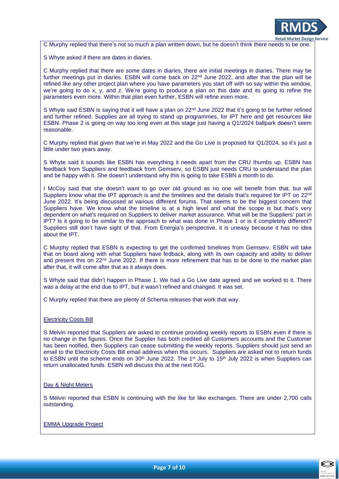

C Murphy replied that there's not so much a plan written down, but he doesn't think there needs to be one.

S Whyte asked if there are dates in diaries.

C Murphy replied that there are some dates in diaries, there are initial meetings in diaries. There may be further meetings put in diaries. ESBN will come back on 22<sup>nd</sup> June 2022, and after that the plan will be refined like any other project plan where you have parameters you start off with so say within this window, we're going to do x, y, and z. We're going to produce a plan on this date and its going to refine the parameters even more. Within that plan even further, ESBN will refine even more.

S Whyte said ESBN is saying that it will have a plan on 22<sup>nd</sup> June 2022 that it's going to be further refined and further refined. Supplies are all trying to stand up programmes, for IPT here and get resources like ESBN. Phase 2 is going on way too long even at this stage just having a Q1/2024 ballpark doesn't seem reasonable.

C Murphy replied that given that we're in May 2022 and the Go Live is proposed for Q1/2024, so it's just a little under two years away.

S Whyte said it sounds like ESBN has everything it needs apart from the CRU thumbs up. ESBN has feedback from Suppliers and feedback from Gemserv, so ESBN just needs CRU to understand the plan and be happy with it. She doesn't understand why this is going to take ESBN a month to do.

I McCoy said that she doesn't want to go over old ground as no one will benefit from that, but will Suppliers know what the IPT approach is and the timelines and the details that's required for IPT on 22<sup>nd</sup> June 2022. It's being discussed at various different forums. That seems to be the biggest concern that Suppliers have. We know what the timeline is at a high level and what the scope is but that's very dependent on what's required on Suppliers to deliver market assurance. What will be the Suppliers' part in IPT? Is it going to be similar to the approach to what was done in Phase 1 or is it completely different? Suppliers still don't have sight of that. From Energia's perspective, it is uneasy because it has no idea about the IPT.

C Murphy replied that ESBN is expecting to get the confirmed timelines from Gemserv. ESBN will take that on board along with what Suppliers have fedback, along with its own capacity and ability to deliver and present this on 22<sup>nd</sup> June 2022. If there is more refinement that has to be done to the market plan after that, it will come after that as it always does.

S Whyte said that didn't happen in Phase 1. We had a Go Live date agreed and we worked to it. There was a delay at the end due to IPT, but it wasn't refined and changed. It was set.

C Murphy replied that there are plenty of Schema releases that work that way.

#### Electricity Costs Bill

S Melvin reported that Suppliers are asked to continue providing weekly reports to ESBN even if there is no change in the figures. Once the Supplier has both credited all Customers accounts and the Customer has been notified, then Suppliers can cease submitting the weekly reports. Suppliers should just send an email to the Electricity Costs Bill email address when this occurs. Suppliers are asked not to return funds to ESBN until the scheme ends on 30<sup>th</sup> June 2022. The 1<sup>st</sup> July to 15<sup>th</sup> July 2022 is when Suppliers can return unallocated funds. ESBN will discuss this at the next IGG.

#### Day & Night Meters

S Melvin reported that ESBN is continuing with the like for like exchanges. There are under 2,700 calls outstanding.

#### EMMA Upgrade Project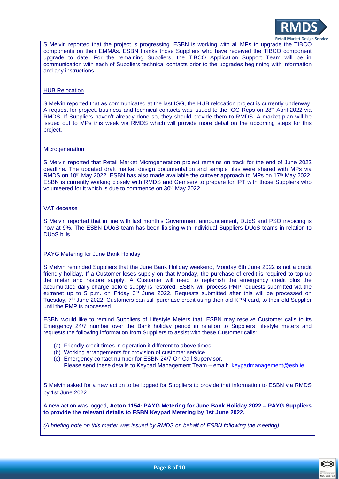

S Melvin reported that the project is progressing. ESBN is working with all MPs to upgrade the TIBCO components on their EMMAs. ESBN thanks those Suppliers who have received the TIBCO component upgrade to date. For the remaining Suppliers, the TIBCO Application Support Team will be in communication with each of Suppliers technical contacts prior to the upgrades beginning with information and any instructions.

#### HUB Relocation

S Melvin reported that as communicated at the last IGG, the HUB relocation project is currently underway. A request for project, business and technical contacts was issued to the IGG Reps on 28th April 2022 via RMDS. If Suppliers haven't already done so, they should provide them to RMDS. A market plan will be issued out to MPs this week via RMDS which will provide more detail on the upcoming steps for this project.

#### **Microgeneration**

S Melvin reported that Retail Market Microgeneration project remains on track for the end of June 2022 deadline. The updated draft market design documentation and sample files were shared with MPs via RMDS on 10<sup>th</sup> May 2022. ESBN has also made available the cutover approach to MPs on 17<sup>th</sup> May 2022. ESBN is currently working closely with RMDS and Gemserv to prepare for IPT with those Suppliers who volunteered for it which is due to commence on 30<sup>th</sup> May 2022.

#### VAT decease

S Melvin reported that in line with last month's Government announcement, DUoS and PSO invoicing is now at 9%. The ESBN DUoS team has been liaising with individual Suppliers DUoS teams in relation to DUoS bills.

#### PAYG Metering for June Bank Holiday

S Melvin reminded Suppliers that the June Bank Holiday weekend, Monday 6th June 2022 is not a credit friendly holiday. If a Customer loses supply on that Monday, the purchase of credit is required to top up the meter and restore supply. A Customer will need to replenish the emergency credit plus the accumulated daily charge before supply is restored. ESBN will process PMP requests submitted via the extranet up to 5 p.m. on Friday  $3<sup>rd</sup>$  June 2022. Requests submitted after this will be processed on Tuesday, 7<sup>th</sup> June 2022. Customers can still purchase credit using their old KPN card, to their old Supplier until the PMP is processed.

ESBN would like to remind Suppliers of Lifestyle Meters that, ESBN may receive Customer calls to its Emergency 24/7 number over the Bank holiday period in relation to Suppliers' lifestyle meters and requests the following information from Suppliers to assist with these Customer calls:

- (a) Friendly credit times in operation if different to above times.
- (b) Working arrangements for provision of customer service.
- (c) Emergency contact number for ESBN 24/7 On Call Supervisor. Please send these details to Keypad Management Team – email: [keypadmanagement@esb.ie](mailto:keypadmanagement@esb.ie)

S Melvin asked for a new action to be logged for Suppliers to provide that information to ESBN via RMDS by 1st June 2022.

A new action was logged, **Acton 1154: PAYG Metering for June Bank Holiday 2022 – PAYG Suppliers to provide the relevant details to ESBN Keypad Metering by 1st June 2022.**

*(A briefing note on this matter was issued by RMDS on behalf of ESBN following the meeting).*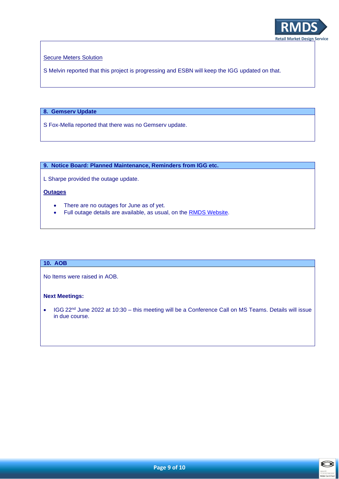

Secure Meters Solution

S Melvin reported that this project is progressing and ESBN will keep the IGG updated on that.

# **8. Gemserv Update**

S Fox-Mella reported that there was no Gemserv update.

**9. Notice Board: Planned Maintenance, Reminders from IGG etc.**

L Sharpe provided the outage update.

## **Outages**

- There are no outages for June as of yet.
- Full outage details are available, as usual, on the **RMDS Website**.

## **10. AOB**

No Items were raised in AOB.

## **Next Meetings:**

• IGG 22<sup>nd</sup> June 2022 at 10:30 – this meeting will be a Conference Call on MS Teams. Details will issue in due course.